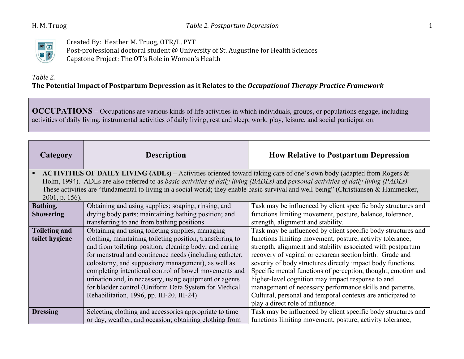

Created By: Heather M. Truog, OTR/L, PYT Post-professional doctoral student @ University of St. Augustine for Health Sciences Capstone Project: The OT's Role in Women's Health

## *Table 2.* The Potential Impact of Postpartum Depression as it Relates to the *Occupational Therapy Practice Framework*

**OCCUPATIONS –** Occupations are various kinds of life activities in which individuals, groups, or populations engage, including activities of daily living, instrumental activities of daily living, rest and sleep, work, play, leisure, and social participation.

| Category             | <b>Description</b>                                                                                                                  | <b>How Relative to Postpartum Depression</b>                                                                                         |
|----------------------|-------------------------------------------------------------------------------------------------------------------------------------|--------------------------------------------------------------------------------------------------------------------------------------|
|                      | • ACTIVITIES OF DAILY LIVING (ADLs) – Activities oriented toward taking care of one's own body (adapted from Rogers $\&$            |                                                                                                                                      |
|                      | Holm, 1994). ADLs are also referred to as basic activities of daily living (BADLs) and personal activities of daily living (PADLs). |                                                                                                                                      |
|                      |                                                                                                                                     | These activities are "fundamental to living in a social world; they enable basic survival and well-being" (Christiansen & Hammecker, |
| $2001$ , p. 156).    |                                                                                                                                     |                                                                                                                                      |
| Bathing,             | Obtaining and using supplies; soaping, rinsing, and                                                                                 | Task may be influenced by client specific body structures and                                                                        |
| <b>Showering</b>     | drying body parts; maintaining bathing position; and                                                                                | functions limiting movement, posture, balance, tolerance,                                                                            |
|                      | transferring to and from bathing positions                                                                                          | strength, alignment and stability.                                                                                                   |
| <b>Toileting and</b> | Obtaining and using toileting supplies, managing                                                                                    | Task may be influenced by client specific body structures and                                                                        |
| toilet hygiene       | clothing, maintaining toileting position, transferring to                                                                           | functions limiting movement, posture, activity tolerance,                                                                            |
|                      | and from toileting position, cleaning body, and caring                                                                              | strength, alignment and stability associated with postpartum                                                                         |
|                      | for menstrual and continence needs (including catheter,                                                                             | recovery of vaginal or cesarean section birth. Grade and                                                                             |
|                      | colostomy, and suppository management), as well as                                                                                  | severity of body structures directly impact body functions.                                                                          |
|                      | completing intentional control of bowel movements and                                                                               | Specific mental functions of perception, thought, emotion and                                                                        |
|                      | urination and, in necessary, using equipment or agents                                                                              | higher-level cognition may impact response to and                                                                                    |
|                      | for bladder control (Uniform Data System for Medical                                                                                | management of necessary performance skills and patterns.                                                                             |
|                      | Rehabilitation, 1996, pp. III-20, III-24)                                                                                           | Cultural, personal and temporal contexts are anticipated to                                                                          |
|                      |                                                                                                                                     | play a direct role of influence.                                                                                                     |
| <b>Dressing</b>      | Selecting clothing and accessories appropriate to time                                                                              | Task may be influenced by client specific body structures and                                                                        |
|                      | or day, weather, and occasion; obtaining clothing from                                                                              | functions limiting movement, posture, activity tolerance,                                                                            |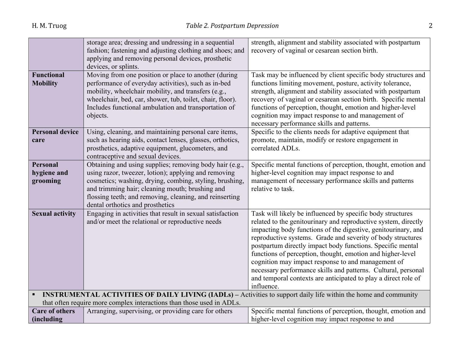|                                                                       | storage area; dressing and undressing in a sequential                                                      | strength, alignment and stability associated with postpartum                                                            |
|-----------------------------------------------------------------------|------------------------------------------------------------------------------------------------------------|-------------------------------------------------------------------------------------------------------------------------|
|                                                                       | fashion; fastening and adjusting clothing and shoes; and                                                   | recovery of vaginal or cesarean section birth.                                                                          |
|                                                                       | applying and removing personal devices, prosthetic                                                         |                                                                                                                         |
|                                                                       | devices, or splints.                                                                                       |                                                                                                                         |
| <b>Functional</b>                                                     | Moving from one position or place to another (during                                                       | Task may be influenced by client specific body structures and                                                           |
| <b>Mobility</b>                                                       | performance of everyday activities), such as in-bed                                                        | functions limiting movement, posture, activity tolerance,                                                               |
|                                                                       | mobility, wheelchair mobility, and transfers (e.g.,                                                        | strength, alignment and stability associated with postpartum                                                            |
|                                                                       | wheelchair, bed, car, shower, tub, toilet, chair, floor).                                                  | recovery of vaginal or cesarean section birth. Specific mental                                                          |
|                                                                       | Includes functional ambulation and transportation of                                                       | functions of perception, thought, emotion and higher-level                                                              |
|                                                                       | objects.                                                                                                   | cognition may impact response to and management of                                                                      |
|                                                                       |                                                                                                            | necessary performance skills and patterns.                                                                              |
| <b>Personal device</b>                                                | Using, cleaning, and maintaining personal care items,                                                      | Specific to the clients needs for adaptive equipment that                                                               |
| care                                                                  | such as hearing aids, contact lenses, glasses, orthotics,                                                  | promote, maintain, modify or restore engagement in                                                                      |
|                                                                       | prosthetics, adaptive equipment, glucometers, and                                                          | correlated ADLs.                                                                                                        |
|                                                                       | contraceptive and sexual devices.                                                                          |                                                                                                                         |
| <b>Personal</b>                                                       | Obtaining and using supplies; removing body hair (e.g.,                                                    | Specific mental functions of perception, thought, emotion and                                                           |
| hygiene and                                                           | using razor, tweezer, lotion); applying and removing                                                       | higher-level cognition may impact response to and                                                                       |
| grooming                                                              | cosmetics; washing, drying, combing, styling, brushing,<br>and trimming hair; cleaning mouth; brushing and | management of necessary performance skills and patterns<br>relative to task.                                            |
|                                                                       | flossing teeth; and removing, cleaning, and reinserting                                                    |                                                                                                                         |
|                                                                       | dental orthotics and prosthetics                                                                           |                                                                                                                         |
| <b>Sexual activity</b>                                                | Engaging in activities that result in sexual satisfaction                                                  | Task will likely be influenced by specific body structures                                                              |
|                                                                       | and/or meet the relational or reproductive needs                                                           | related to the genitourinary and reproductive system, directly                                                          |
|                                                                       |                                                                                                            | impacting body functions of the digestive, genitourinary, and                                                           |
|                                                                       |                                                                                                            | reproductive systems. Grade and severity of body structures                                                             |
|                                                                       |                                                                                                            | postpartum directly impact body functions. Specific mental                                                              |
|                                                                       |                                                                                                            | functions of perception, thought, emotion and higher-level                                                              |
|                                                                       |                                                                                                            | cognition may impact response to and management of                                                                      |
|                                                                       |                                                                                                            | necessary performance skills and patterns. Cultural, personal                                                           |
|                                                                       |                                                                                                            | and temporal contexts are anticipated to play a direct role of                                                          |
|                                                                       |                                                                                                            | influence.                                                                                                              |
|                                                                       |                                                                                                            | <b>INSTRUMENTAL ACTIVITIES OF DAILY LIVING (IADLs)</b> – Activities to support daily life within the home and community |
| that often require more complex interactions than those used in ADLs. |                                                                                                            |                                                                                                                         |
| <b>Care of others</b>                                                 | Arranging, supervising, or providing care for others                                                       | Specific mental functions of perception, thought, emotion and                                                           |
| (including                                                            |                                                                                                            | higher-level cognition may impact response to and                                                                       |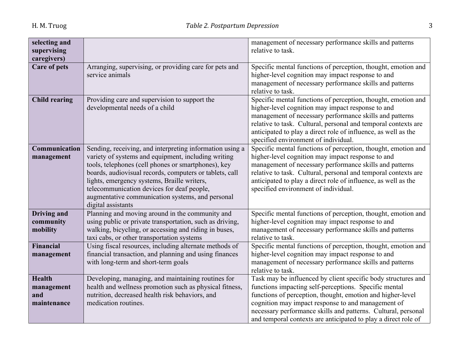| selecting and<br>supervising<br>caregivers)       |                                                                                                                                                                                                                                                                                                                                                                                                          | management of necessary performance skills and patterns<br>relative to task.                                                                                                                                                                                                                                                                                                  |
|---------------------------------------------------|----------------------------------------------------------------------------------------------------------------------------------------------------------------------------------------------------------------------------------------------------------------------------------------------------------------------------------------------------------------------------------------------------------|-------------------------------------------------------------------------------------------------------------------------------------------------------------------------------------------------------------------------------------------------------------------------------------------------------------------------------------------------------------------------------|
| <b>Care of pets</b>                               | Arranging, supervising, or providing care for pets and<br>service animals                                                                                                                                                                                                                                                                                                                                | Specific mental functions of perception, thought, emotion and<br>higher-level cognition may impact response to and<br>management of necessary performance skills and patterns<br>relative to task.                                                                                                                                                                            |
| <b>Child rearing</b>                              | Providing care and supervision to support the<br>developmental needs of a child                                                                                                                                                                                                                                                                                                                          | Specific mental functions of perception, thought, emotion and<br>higher-level cognition may impact response to and<br>management of necessary performance skills and patterns<br>relative to task. Cultural, personal and temporal contexts are<br>anticipated to play a direct role of influence, as well as the<br>specified environment of individual.                     |
| Communication<br>management                       | Sending, receiving, and interpreting information using a<br>variety of systems and equipment, including writing<br>tools, telephones (cell phones or smartphones), key<br>boards, audiovisual records, computers or tablets, call<br>lights, emergency systems, Braille writers,<br>telecommunication devices for deaf people,<br>augmentative communication systems, and personal<br>digital assistants | Specific mental functions of perception, thought, emotion and<br>higher-level cognition may impact response to and<br>management of necessary performance skills and patterns<br>relative to task. Cultural, personal and temporal contexts are<br>anticipated to play a direct role of influence, as well as the<br>specified environment of individual.                     |
| <b>Driving and</b><br>community<br>mobility       | Planning and moving around in the community and<br>using public or private transportation, such as driving,<br>walking, bicycling, or accessing and riding in buses,<br>taxi cabs, or other transportation systems                                                                                                                                                                                       | Specific mental functions of perception, thought, emotion and<br>higher-level cognition may impact response to and<br>management of necessary performance skills and patterns<br>relative to task.                                                                                                                                                                            |
| Financial<br>management                           | Using fiscal resources, including alternate methods of<br>financial transaction, and planning and using finances<br>with long-term and short-term goals                                                                                                                                                                                                                                                  | Specific mental functions of perception, thought, emotion and<br>higher-level cognition may impact response to and<br>management of necessary performance skills and patterns<br>relative to task.                                                                                                                                                                            |
| <b>Health</b><br>management<br>and<br>maintenance | Developing, managing, and maintaining routines for<br>health and wellness promotion such as physical fitness,<br>nutrition, decreased health risk behaviors, and<br>medication routines.                                                                                                                                                                                                                 | Task may be influenced by client specific body structures and<br>functions impacting self-perceptions. Specific mental<br>functions of perception, thought, emotion and higher-level<br>cognition may impact response to and management of<br>necessary performance skills and patterns. Cultural, personal<br>and temporal contexts are anticipated to play a direct role of |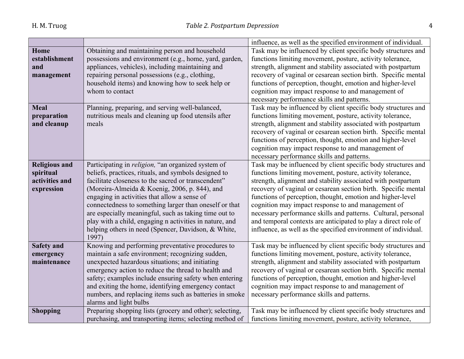|                      |                                                            | influence, as well as the specified environment of individual. |
|----------------------|------------------------------------------------------------|----------------------------------------------------------------|
| Home                 | Obtaining and maintaining person and household             | Task may be influenced by client specific body structures and  |
| establishment        | possessions and environment (e.g., home, yard, garden,     | functions limiting movement, posture, activity tolerance,      |
| and                  | appliances, vehicles), including maintaining and           | strength, alignment and stability associated with postpartum   |
| management           | repairing personal possessions (e.g., clothing,            | recovery of vaginal or cesarean section birth. Specific mental |
|                      | household items) and knowing how to seek help or           | functions of perception, thought, emotion and higher-level     |
|                      | whom to contact                                            | cognition may impact response to and management of             |
|                      |                                                            | necessary performance skills and patterns.                     |
| <b>Meal</b>          | Planning, preparing, and serving well-balanced,            | Task may be influenced by client specific body structures and  |
| preparation          | nutritious meals and cleaning up food utensils after       | functions limiting movement, posture, activity tolerance,      |
| and cleanup          | meals                                                      | strength, alignment and stability associated with postpartum   |
|                      |                                                            | recovery of vaginal or cesarean section birth. Specific mental |
|                      |                                                            | functions of perception, thought, emotion and higher-level     |
|                      |                                                            | cognition may impact response to and management of             |
|                      |                                                            | necessary performance skills and patterns.                     |
| <b>Religious and</b> | Participating in <i>religion</i> , "an organized system of | Task may be influenced by client specific body structures and  |
| spiritual            | beliefs, practices, rituals, and symbols designed to       | functions limiting movement, posture, activity tolerance,      |
| activities and       | facilitate closeness to the sacred or transcendent"        | strength, alignment and stability associated with postpartum   |
| expression           | (Moreira-Almeida & Koenig, 2006, p. 844), and              | recovery of vaginal or cesarean section birth. Specific mental |
|                      | engaging in activities that allow a sense of               | functions of perception, thought, emotion and higher-level     |
|                      | connectedness to something larger than oneself or that     | cognition may impact response to and management of             |
|                      | are especially meaningful, such as taking time out to      | necessary performance skills and patterns. Cultural, personal  |
|                      | play with a child, engaging n activities in nature, and    | and temporal contexts are anticipated to play a direct role of |
|                      | helping others in need (Spencer, Davidson, & White,        | influence, as well as the specified environment of individual. |
|                      | 1997)                                                      |                                                                |
| <b>Safety and</b>    | Knowing and performing preventative procedures to          | Task may be influenced by client specific body structures and  |
| emergency            | maintain a safe environment; recognizing sudden,           | functions limiting movement, posture, activity tolerance,      |
| maintenance          | unexpected hazardous situations; and initiating            | strength, alignment and stability associated with postpartum   |
|                      | emergency action to reduce the thread to health and        | recovery of vaginal or cesarean section birth. Specific mental |
|                      | safety; examples include ensuring safety when entering     | functions of perception, thought, emotion and higher-level     |
|                      | and exiting the home, identifying emergency contact        | cognition may impact response to and management of             |
|                      | numbers, and replacing items such as batteries in smoke    | necessary performance skills and patterns.                     |
|                      | alarms and light bulbs                                     |                                                                |
| <b>Shopping</b>      | Preparing shopping lists (grocery and other); selecting,   | Task may be influenced by client specific body structures and  |
|                      | purchasing, and transporting items; selecting method of    | functions limiting movement, posture, activity tolerance,      |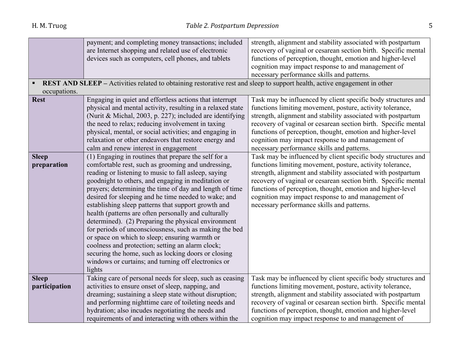|               | payment; and completing money transactions; included                                                                             | strength, alignment and stability associated with postpartum   |
|---------------|----------------------------------------------------------------------------------------------------------------------------------|----------------------------------------------------------------|
|               | are Internet shopping and related use of electronic                                                                              | recovery of vaginal or cesarean section birth. Specific mental |
|               | devices such as computers, cell phones, and tablets                                                                              | functions of perception, thought, emotion and higher-level     |
|               |                                                                                                                                  | cognition may impact response to and management of             |
|               |                                                                                                                                  | necessary performance skills and patterns.                     |
|               | <b>REST AND SLEEP</b> – Activities related to obtaining restorative rest and sleep to support health, active engagement in other |                                                                |
| occupations.  |                                                                                                                                  |                                                                |
| <b>Rest</b>   | Engaging in quiet and effortless actions that interrupt                                                                          | Task may be influenced by client specific body structures and  |
|               | physical and mental activity, resulting in a relaxed state                                                                       | functions limiting movement, posture, activity tolerance,      |
|               | (Nurit & Michal, 2003, p. 227); included are identifying                                                                         | strength, alignment and stability associated with postpartum   |
|               | the need to relax; reducing involvement in taxing                                                                                | recovery of vaginal or cesarean section birth. Specific mental |
|               | physical, mental, or social activities; and engaging in                                                                          | functions of perception, thought, emotion and higher-level     |
|               | relaxation or other endeavors that restore energy and                                                                            | cognition may impact response to and management of             |
|               | calm and renew interest in engagement                                                                                            | necessary performance skills and patterns.                     |
| <b>Sleep</b>  | (1) Engaging in routines that prepare the self for a                                                                             | Task may be influenced by client specific body structures and  |
| preparation   | comfortable rest, such as grooming and undressing,                                                                               | functions limiting movement, posture, activity tolerance,      |
|               | reading or listening to music to fall asleep, saying                                                                             | strength, alignment and stability associated with postpartum   |
|               | goodnight to others, and engaging in meditation or                                                                               | recovery of vaginal or cesarean section birth. Specific mental |
|               | prayers; determining the time of day and length of time                                                                          | functions of perception, thought, emotion and higher-level     |
|               | desired for sleeping and he time needed to wake; and                                                                             | cognition may impact response to and management of             |
|               | establishing sleep patterns that support growth and                                                                              | necessary performance skills and patterns.                     |
|               | health (patterns are often personally and culturally                                                                             |                                                                |
|               | determined). (2) Preparing the physical environment                                                                              |                                                                |
|               | for periods of unconsciousness, such as making the bed                                                                           |                                                                |
|               | or space on which to sleep; ensuring warmth or                                                                                   |                                                                |
|               | coolness and protection; setting an alarm clock;                                                                                 |                                                                |
|               | securing the home, such as locking doors or closing                                                                              |                                                                |
|               | windows or curtains; and turning off electronics or                                                                              |                                                                |
|               | lights                                                                                                                           |                                                                |
| <b>Sleep</b>  | Taking care of personal needs for sleep, such as ceasing                                                                         | Task may be influenced by client specific body structures and  |
| participation | activities to ensure onset of sleep, napping, and                                                                                | functions limiting movement, posture, activity tolerance,      |
|               | dreaming; sustaining a sleep state without disruption;                                                                           | strength, alignment and stability associated with postpartum   |
|               | and performing nighttime care of toileting needs and                                                                             | recovery of vaginal or cesarean section birth. Specific mental |
|               | hydration; also incudes negotiating the needs and                                                                                | functions of perception, thought, emotion and higher-level     |
|               | requirements of and interacting with others within the                                                                           | cognition may impact response to and management of             |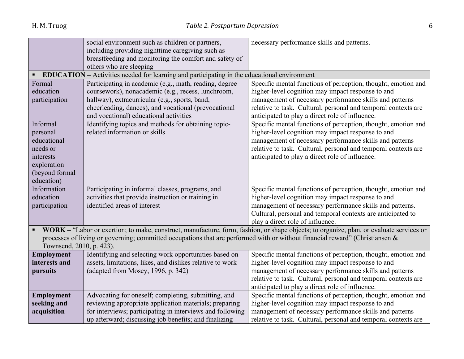|                          | social environment such as children or partners,                                                                             | necessary performance skills and patterns.                                                                                              |
|--------------------------|------------------------------------------------------------------------------------------------------------------------------|-----------------------------------------------------------------------------------------------------------------------------------------|
|                          | including providing nighttime caregiving such as                                                                             |                                                                                                                                         |
|                          | breastfeeding and monitoring the comfort and safety of                                                                       |                                                                                                                                         |
|                          | others who are sleeping                                                                                                      |                                                                                                                                         |
| $\blacksquare$           | <b>EDUCATION</b> – Activities needed for learning and participating in the educational environment                           |                                                                                                                                         |
| Formal                   | Participating in academic (e.g., math, reading, degree                                                                       | Specific mental functions of perception, thought, emotion and                                                                           |
| education                | coursework), nonacademic (e.g., recess, lunchroom,                                                                           | higher-level cognition may impact response to and                                                                                       |
| participation            | hallway), extracurricular (e.g., sports, band,                                                                               | management of necessary performance skills and patterns                                                                                 |
|                          | cheerleading, dances), and vocational (prevocational                                                                         | relative to task. Cultural, personal and temporal contexts are                                                                          |
|                          | and vocational) educational activities                                                                                       | anticipated to play a direct role of influence.                                                                                         |
| Informal                 | Identifying topics and methods for obtaining topic-                                                                          | Specific mental functions of perception, thought, emotion and                                                                           |
| personal                 | related information or skills                                                                                                | higher-level cognition may impact response to and                                                                                       |
| educational              |                                                                                                                              | management of necessary performance skills and patterns                                                                                 |
| needs or                 |                                                                                                                              | relative to task. Cultural, personal and temporal contexts are                                                                          |
| interests                |                                                                                                                              | anticipated to play a direct role of influence.                                                                                         |
| exploration              |                                                                                                                              |                                                                                                                                         |
| (beyond formal           |                                                                                                                              |                                                                                                                                         |
| education)               |                                                                                                                              |                                                                                                                                         |
| Information              | Participating in informal classes, programs, and                                                                             | Specific mental functions of perception, thought, emotion and                                                                           |
| education                | activities that provide instruction or training in                                                                           | higher-level cognition may impact response to and                                                                                       |
| participation            | identified areas of interest                                                                                                 | management of necessary performance skills and patterns.                                                                                |
|                          |                                                                                                                              | Cultural, personal and temporal contexts are anticipated to                                                                             |
|                          |                                                                                                                              | play a direct role of influence.                                                                                                        |
|                          |                                                                                                                              | WORK - "Labor or exertion; to make, construct, manufacture, form, fashion, or shape objects; to organize, plan, or evaluate services or |
|                          | processes of living or governing; committed occupations that are performed with or without financial reward" (Christiansen & |                                                                                                                                         |
| Townsend, 2010, p. 423). |                                                                                                                              |                                                                                                                                         |
| Employment               | Identifying and selecting work opportunities based on                                                                        | Specific mental functions of perception, thought, emotion and                                                                           |
| interests and            | assets, limitations, likes, and dislikes relative to work                                                                    | higher-level cognition may impact response to and                                                                                       |
| pursuits                 | (adapted from Mosey, 1996, p. 342)                                                                                           | management of necessary performance skills and patterns                                                                                 |
|                          |                                                                                                                              | relative to task. Cultural, personal and temporal contexts are                                                                          |
|                          |                                                                                                                              | anticipated to play a direct role of influence.                                                                                         |
| Employment               | Advocating for oneself; completing, submitting, and                                                                          | Specific mental functions of perception, thought, emotion and                                                                           |
| seeking and              | reviewing appropriate application materials; preparing                                                                       | higher-level cognition may impact response to and                                                                                       |
| acquisition              | for interviews; participating in interviews and following                                                                    | management of necessary performance skills and patterns                                                                                 |
|                          | up afterward; discussing job benefits; and finalizing                                                                        | relative to task. Cultural, personal and temporal contexts are                                                                          |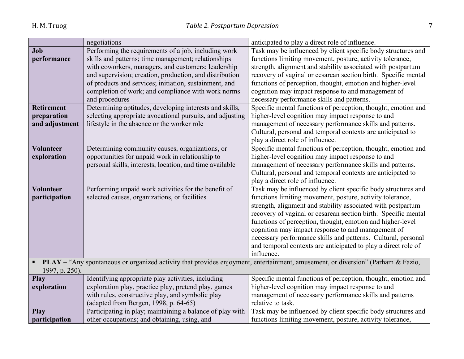|                                                                                                                                                   | negotiations                                              | anticipated to play a direct role of influence.                |
|---------------------------------------------------------------------------------------------------------------------------------------------------|-----------------------------------------------------------|----------------------------------------------------------------|
| Job                                                                                                                                               | Performing the requirements of a job, including work      | Task may be influenced by client specific body structures and  |
| performance                                                                                                                                       | skills and patterns; time management; relationships       | functions limiting movement, posture, activity tolerance,      |
|                                                                                                                                                   | with coworkers, managers, and customers; leadership       | strength, alignment and stability associated with postpartum   |
|                                                                                                                                                   | and supervision; creation, production, and distribution   | recovery of vaginal or cesarean section birth. Specific mental |
|                                                                                                                                                   | of products and services; initiation, sustainment, and    | functions of perception, thought, emotion and higher-level     |
|                                                                                                                                                   | completion of work; and compliance with work norms        | cognition may impact response to and management of             |
|                                                                                                                                                   | and procedures                                            | necessary performance skills and patterns.                     |
| <b>Retirement</b>                                                                                                                                 | Determining aptitudes, developing interests and skills,   | Specific mental functions of perception, thought, emotion and  |
| preparation                                                                                                                                       | selecting appropriate avocational pursuits, and adjusting | higher-level cognition may impact response to and              |
| and adjustment                                                                                                                                    | lifestyle in the absence or the worker role               | management of necessary performance skills and patterns.       |
|                                                                                                                                                   |                                                           | Cultural, personal and temporal contexts are anticipated to    |
|                                                                                                                                                   |                                                           | play a direct role of influence.                               |
| <b>Volunteer</b>                                                                                                                                  | Determining community causes, organizations, or           | Specific mental functions of perception, thought, emotion and  |
| exploration                                                                                                                                       | opportunities for unpaid work in relationship to          | higher-level cognition may impact response to and              |
|                                                                                                                                                   | personal skills, interests, location, and time available  | management of necessary performance skills and patterns.       |
|                                                                                                                                                   |                                                           | Cultural, personal and temporal contexts are anticipated to    |
|                                                                                                                                                   |                                                           | play a direct role of influence.                               |
| Volunteer                                                                                                                                         | Performing unpaid work activities for the benefit of      | Task may be influenced by client specific body structures and  |
| participation                                                                                                                                     | selected causes, organizations, or facilities             | functions limiting movement, posture, activity tolerance,      |
|                                                                                                                                                   |                                                           | strength, alignment and stability associated with postpartum   |
|                                                                                                                                                   |                                                           | recovery of vaginal or cesarean section birth. Specific mental |
|                                                                                                                                                   |                                                           | functions of perception, thought, emotion and higher-level     |
|                                                                                                                                                   |                                                           | cognition may impact response to and management of             |
|                                                                                                                                                   |                                                           | necessary performance skills and patterns. Cultural, personal  |
|                                                                                                                                                   |                                                           | and temporal contexts are anticipated to play a direct role of |
|                                                                                                                                                   |                                                           | influence.                                                     |
| PLAY - "Any spontaneous or organized activity that provides enjoyment, entertainment, amusement, or diversion" (Parham & Fazio,<br>$\blacksquare$ |                                                           |                                                                |
| 1997, p. 250).                                                                                                                                    |                                                           |                                                                |
| Play                                                                                                                                              | Identifying appropriate play activities, including        | Specific mental functions of perception, thought, emotion and  |
| exploration                                                                                                                                       | exploration play, practice play, pretend play, games      | higher-level cognition may impact response to and              |
|                                                                                                                                                   | with rules, constructive play, and symbolic play          | management of necessary performance skills and patterns        |
|                                                                                                                                                   | (adapted from Bergen, 1998, p. 64-65)                     | relative to task.                                              |
| <b>Play</b>                                                                                                                                       | Participating in play; maintaining a balance of play with | Task may be influenced by client specific body structures and  |
| participation                                                                                                                                     | other occupations; and obtaining, using, and              | functions limiting movement, posture, activity tolerance,      |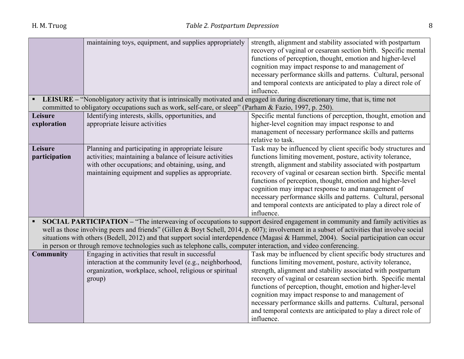|                                                                                                                 | maintaining toys, equipment, and supplies appropriately                                                                       | strength, alignment and stability associated with postpartum<br>recovery of vaginal or cesarean section birth. Specific mental<br>functions of perception, thought, emotion and higher-level<br>cognition may impact response to and management of<br>necessary performance skills and patterns. Cultural, personal |
|-----------------------------------------------------------------------------------------------------------------|-------------------------------------------------------------------------------------------------------------------------------|---------------------------------------------------------------------------------------------------------------------------------------------------------------------------------------------------------------------------------------------------------------------------------------------------------------------|
|                                                                                                                 |                                                                                                                               | and temporal contexts are anticipated to play a direct role of                                                                                                                                                                                                                                                      |
|                                                                                                                 |                                                                                                                               | influence.                                                                                                                                                                                                                                                                                                          |
|                                                                                                                 | LEISURE – "Nonobligatory activity that is intrinsically motivated and engaged in during discretionary time, that is, time not |                                                                                                                                                                                                                                                                                                                     |
|                                                                                                                 | committed to obligatory occupations such as work, self-care, or sleep" (Parham & Fazio, 1997, p. 250).                        |                                                                                                                                                                                                                                                                                                                     |
| Leisure                                                                                                         | Identifying interests, skills, opportunities, and                                                                             | Specific mental functions of perception, thought, emotion and                                                                                                                                                                                                                                                       |
| exploration                                                                                                     | appropriate leisure activities                                                                                                | higher-level cognition may impact response to and                                                                                                                                                                                                                                                                   |
|                                                                                                                 |                                                                                                                               | management of necessary performance skills and patterns                                                                                                                                                                                                                                                             |
|                                                                                                                 |                                                                                                                               | relative to task.                                                                                                                                                                                                                                                                                                   |
| Leisure                                                                                                         | Planning and participating in appropriate leisure                                                                             | Task may be influenced by client specific body structures and                                                                                                                                                                                                                                                       |
| participation                                                                                                   | activities; maintaining a balance of leisure activities<br>with other occupations; and obtaining, using, and                  | functions limiting movement, posture, activity tolerance,<br>strength, alignment and stability associated with postpartum                                                                                                                                                                                           |
|                                                                                                                 | maintaining equipment and supplies as appropriate.                                                                            | recovery of vaginal or cesarean section birth. Specific mental                                                                                                                                                                                                                                                      |
|                                                                                                                 |                                                                                                                               | functions of perception, thought, emotion and higher-level                                                                                                                                                                                                                                                          |
|                                                                                                                 |                                                                                                                               | cognition may impact response to and management of                                                                                                                                                                                                                                                                  |
|                                                                                                                 |                                                                                                                               | necessary performance skills and patterns. Cultural, personal                                                                                                                                                                                                                                                       |
|                                                                                                                 |                                                                                                                               | and temporal contexts are anticipated to play a direct role of                                                                                                                                                                                                                                                      |
|                                                                                                                 |                                                                                                                               | influence.                                                                                                                                                                                                                                                                                                          |
|                                                                                                                 |                                                                                                                               | <b>SOCIAL PARTICIPATION – "The interweaving of occupations to support desired engagement in community and family activities as</b>                                                                                                                                                                                  |
|                                                                                                                 |                                                                                                                               | well as those involving peers and friends" (Gillen & Boyt Schell, 2014, p. 607); involvement in a subset of activities that involve social                                                                                                                                                                          |
|                                                                                                                 |                                                                                                                               | situations with others (Bedell, 2012) and that support social interdependence (Magasi & Hammel, 2004). Social participation can occur                                                                                                                                                                               |
| in person or through remove technologies such as telephone calls, computer interaction, and video conferencing. |                                                                                                                               |                                                                                                                                                                                                                                                                                                                     |
| <b>Community</b>                                                                                                | Engaging in activities that result in successful                                                                              | Task may be influenced by client specific body structures and                                                                                                                                                                                                                                                       |
|                                                                                                                 | interaction at the community level (e.g., neighborhood,                                                                       | functions limiting movement, posture, activity tolerance,                                                                                                                                                                                                                                                           |
|                                                                                                                 | organization, workplace, school, religious or spiritual                                                                       | strength, alignment and stability associated with postpartum                                                                                                                                                                                                                                                        |
|                                                                                                                 | group)                                                                                                                        | recovery of vaginal or cesarean section birth. Specific mental                                                                                                                                                                                                                                                      |
|                                                                                                                 |                                                                                                                               | functions of perception, thought, emotion and higher-level                                                                                                                                                                                                                                                          |
|                                                                                                                 |                                                                                                                               | cognition may impact response to and management of                                                                                                                                                                                                                                                                  |
|                                                                                                                 |                                                                                                                               | necessary performance skills and patterns. Cultural, personal<br>and temporal contexts are anticipated to play a direct role of                                                                                                                                                                                     |
|                                                                                                                 |                                                                                                                               | influence.                                                                                                                                                                                                                                                                                                          |
|                                                                                                                 |                                                                                                                               |                                                                                                                                                                                                                                                                                                                     |